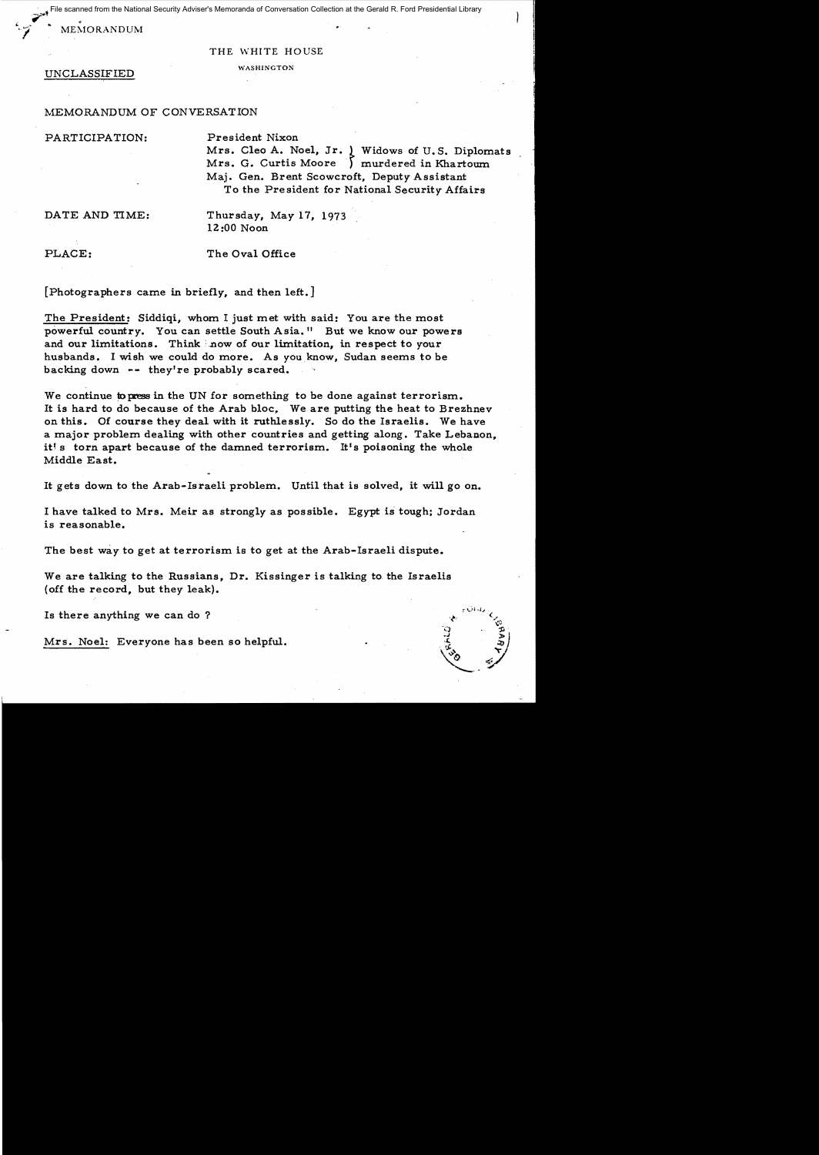$\sim$   $^{\ast}$ scanned from the National Security Adviser's Memoranda of Conversation Collection at the Gerald R. Ford Presidential Library

 $MEMORANDUM$ 

## THE WHITE HOUSE

UNCLASSIFIED WASHINGTON

## MEMORANDUM OF CONVERSATION

PARTICIPATION: President Nixon

Mrs. Cleo A. Noel, Jr. <sub>1</sub> Widows of U.S. Diplomats Mrs. G. Curtis Moore ) murdered in Khartoum Maj. Gen. Brent Scowcroft, Deputy Assistant To the President for National Security Affairs

DATE AND TIME: Thursday, May 17, 1973 lZ:OO Noon

PLACE: The Oval Office

[Photographers came in briefly, and then left. J

The President: Siddiqi, whom I just met with said: You are the most powerful country. You can settle South Asia." But we know our powers and our limitations. Think how of our limitation, in respect to your husbands. I wish we could do more. As you know, Sudan seems to be backing down -- they're probably scared.

We continue to press in the UN for something to be done against terrorism. It is hard to do because of the Arab bloc, We are putting the heat to Brezhnev on this. Of course they deal with it ruthlessly. So do the Israelis. We have a major problem dealing with other countries and getting along. Take Lebanon, it's torn apart because of the damned terrorism. It's poisoning the whole Middle East.

It gets down to the Arab-Israeli problem. Until that is solved, it will go on.

I have talked to Mrs. Meir as strongly as possible. Egypt is tough; Jordan is reasonable.

The best way to get at terrorism is to get at the Arab-Israeli dispute.

We are talking to the Russians, Dr. Kissinger is talking to. the Israelis (off the record, but they leak).

Is there anything we can do?

Mrs. Noel: Everyone has been so helpful.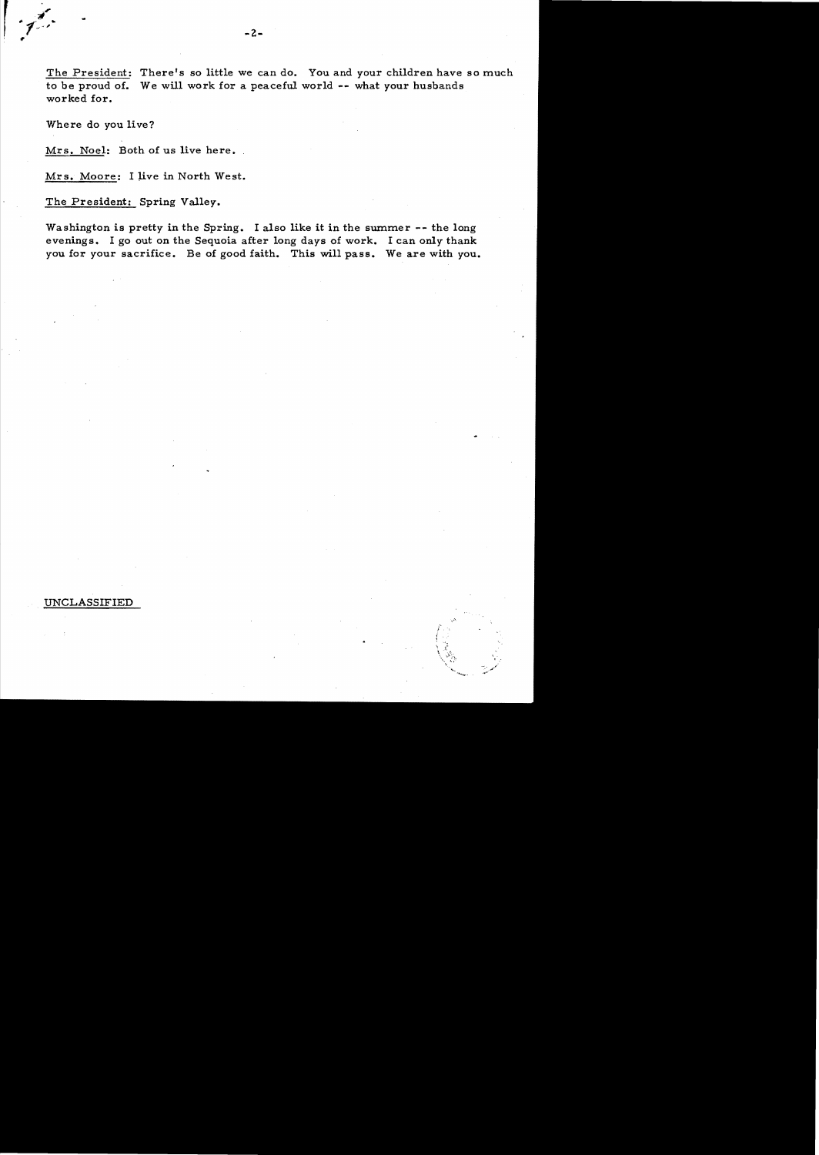The President: There's so little we can do. You and your children have so much to be proud of. We will work for a peaceful world -- what your husbands worked for.

Where do you live?

Mrs. Noel: Both of us live here.

Mrs. Moore: I live in North West.

The President: Spring Valley.

Washington is pretty in the Spring. I also like it in the summer -- the long evenings. I go out on the Sequoia after long days of work. I can only thank you for your sacrifice. Be of good faith. This will pass. We are with you.

> ,  $\frac{1}{2}$  .

UNCLASSIFIED